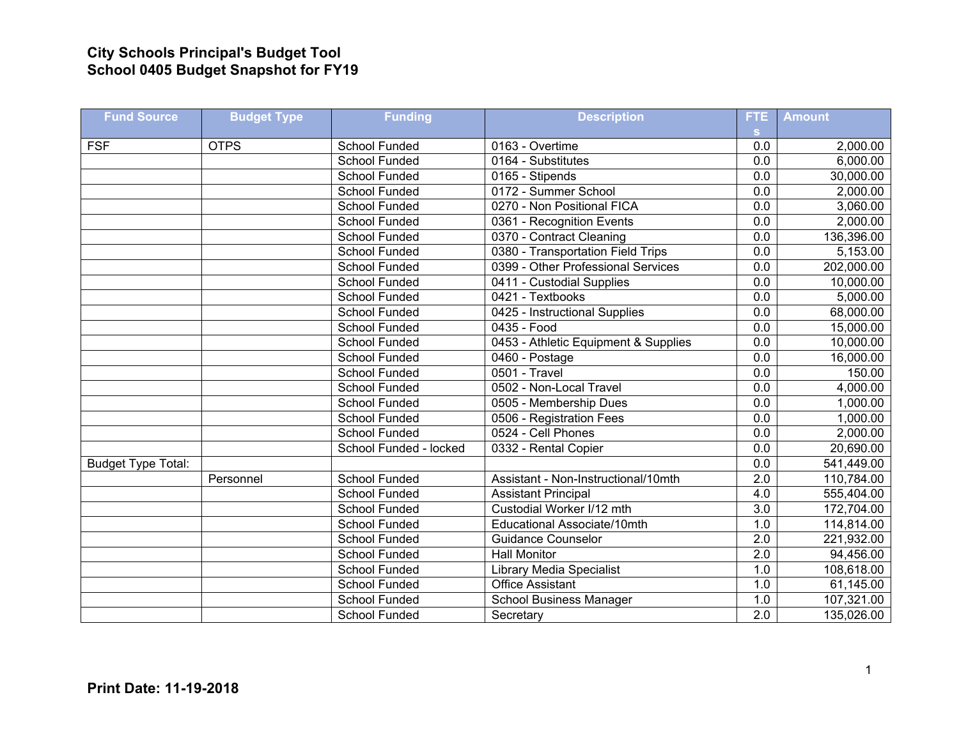## **City Schools Principal's Budget Tool School 0405 Budget Snapshot for FY19**

| <b>Fund Source</b>        | <b>Budget Type</b> | <b>Funding</b>         | <b>Description</b>                   | FTE              | <b>Amount</b> |
|---------------------------|--------------------|------------------------|--------------------------------------|------------------|---------------|
| <b>FSF</b>                | <b>OTPS</b>        | <b>School Funded</b>   | 0163 - Overtime                      | <b>S</b><br>0.0  | 2,000.00      |
|                           |                    | School Funded          | 0164 - Substitutes                   | 0.0              | 6,000.00      |
|                           |                    | <b>School Funded</b>   | 0165 - Stipends                      | 0.0              | 30,000.00     |
|                           |                    | <b>School Funded</b>   | 0172 - Summer School                 | 0.0              | 2,000.00      |
|                           |                    | School Funded          | 0270 - Non Positional FICA           | $\overline{0.0}$ | 3,060.00      |
|                           |                    | <b>School Funded</b>   | 0361 - Recognition Events            | 0.0              | 2,000.00      |
|                           |                    | <b>School Funded</b>   | 0370 - Contract Cleaning             | 0.0              | 136,396.00    |
|                           |                    | School Funded          | 0380 - Transportation Field Trips    | 0.0              | 5,153.00      |
|                           |                    | <b>School Funded</b>   | 0399 - Other Professional Services   | 0.0              | 202,000.00    |
|                           |                    | School Funded          | 0411 - Custodial Supplies            | 0.0              | 10,000.00     |
|                           |                    | <b>School Funded</b>   | 0421 - Textbooks                     | $\overline{0.0}$ | 5,000.00      |
|                           |                    | <b>School Funded</b>   | 0425 - Instructional Supplies        | 0.0              | 68,000.00     |
|                           |                    | <b>School Funded</b>   | 0435 - Food                          | 0.0              | 15,000.00     |
|                           |                    | <b>School Funded</b>   | 0453 - Athletic Equipment & Supplies | 0.0              | 10,000.00     |
|                           |                    | School Funded          | 0460 - Postage                       | 0.0              | 16,000.00     |
|                           |                    | <b>School Funded</b>   | 0501 - Travel                        | 0.0              | 150.00        |
|                           |                    | <b>School Funded</b>   | 0502 - Non-Local Travel              | 0.0              | 4,000.00      |
|                           |                    | <b>School Funded</b>   | 0505 - Membership Dues               | 0.0              | 1,000.00      |
|                           |                    | <b>School Funded</b>   | 0506 - Registration Fees             | 0.0              | 1,000.00      |
|                           |                    | <b>School Funded</b>   | 0524 - Cell Phones                   | $\overline{0.0}$ | 2,000.00      |
|                           |                    | School Funded - locked | 0332 - Rental Copier                 | 0.0              | 20,690.00     |
| <b>Budget Type Total:</b> |                    |                        |                                      | 0.0              | 541,449.00    |
|                           | Personnel          | <b>School Funded</b>   | Assistant - Non-Instructional/10mth  | 2.0              | 110,784.00    |
|                           |                    | <b>School Funded</b>   | <b>Assistant Principal</b>           | 4.0              | 555,404.00    |
|                           |                    | School Funded          | Custodial Worker I/12 mth            | $\overline{3.0}$ | 172,704.00    |
|                           |                    | <b>School Funded</b>   | Educational Associate/10mth          | $\overline{1.0}$ | 114,814.00    |
|                           |                    | <b>School Funded</b>   | <b>Guidance Counselor</b>            | 2.0              | 221,932.00    |
|                           |                    | School Funded          | <b>Hall Monitor</b>                  | $\overline{2.0}$ | 94,456.00     |
|                           |                    | <b>School Funded</b>   | <b>Library Media Specialist</b>      | 1.0              | 108,618.00    |
|                           |                    | <b>School Funded</b>   | <b>Office Assistant</b>              | 1.0              | 61,145.00     |
|                           |                    | <b>School Funded</b>   | <b>School Business Manager</b>       | 1.0              | 107,321.00    |
|                           |                    | <b>School Funded</b>   | Secretary                            | $\overline{2.0}$ | 135,026.00    |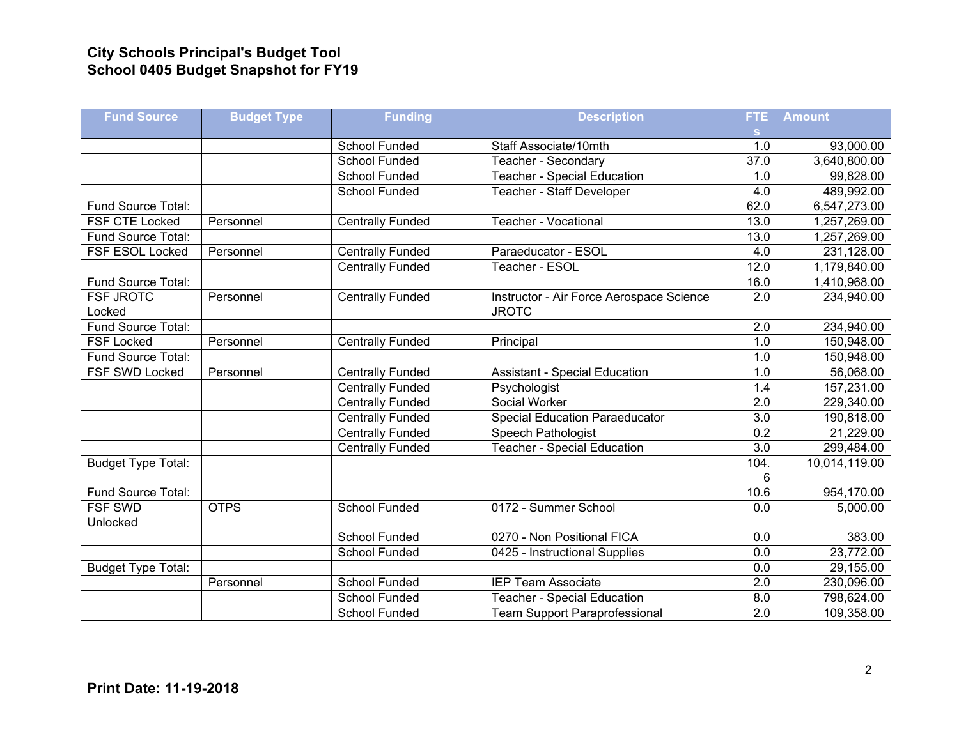## **City Schools Principal's Budget Tool School 0405 Budget Snapshot for FY19**

| <b>Fund Source</b>        | <b>Budget Type</b> | <b>Funding</b>          | <b>Description</b>                       | FTE.             | <b>Amount</b> |
|---------------------------|--------------------|-------------------------|------------------------------------------|------------------|---------------|
|                           |                    |                         |                                          | S.               |               |
|                           |                    | School Funded           | Staff Associate/10mth                    | 1.0              | 93,000.00     |
|                           |                    | School Funded           | Teacher - Secondary                      | 37.0             | 3,640,800.00  |
|                           |                    | <b>School Funded</b>    | <b>Teacher - Special Education</b>       | 1.0              | 99,828.00     |
|                           |                    | <b>School Funded</b>    | Teacher - Staff Developer                | 4.0              | 489,992.00    |
| Fund Source Total:        |                    |                         |                                          | 62.0             | 6,547,273.00  |
| FSF CTE Locked            | Personnel          | <b>Centrally Funded</b> | Teacher - Vocational                     | 13.0             | 1,257,269.00  |
| Fund Source Total:        |                    |                         |                                          | 13.0             | 1,257,269.00  |
| FSF ESOL Locked           | Personnel          | <b>Centrally Funded</b> | Paraeducator - ESOL                      | 4.0              | 231,128.00    |
|                           |                    | <b>Centrally Funded</b> | Teacher - ESOL                           | 12.0             | 1,179,840.00  |
| Fund Source Total:        |                    |                         |                                          | 16.0             | 1,410,968.00  |
| <b>FSF JROTC</b>          | Personnel          | <b>Centrally Funded</b> | Instructor - Air Force Aerospace Science | 2.0              | 234,940.00    |
| Locked                    |                    |                         | <b>JROTC</b>                             |                  |               |
| Fund Source Total:        |                    |                         |                                          | 2.0              | 234,940.00    |
| <b>FSF Locked</b>         | Personnel          | <b>Centrally Funded</b> | Principal                                | 1.0              | 150,948.00    |
| Fund Source Total:        |                    |                         |                                          | 1.0              | 150,948.00    |
| FSF SWD Locked            | Personnel          | <b>Centrally Funded</b> | <b>Assistant - Special Education</b>     | 1.0              | 56,068.00     |
|                           |                    | <b>Centrally Funded</b> | Psychologist                             | 1.4              | 157,231.00    |
|                           |                    | <b>Centrally Funded</b> | Social Worker                            | $\overline{2.0}$ | 229,340.00    |
|                           |                    | <b>Centrally Funded</b> | <b>Special Education Paraeducator</b>    | 3.0              | 190,818.00    |
|                           |                    | <b>Centrally Funded</b> | Speech Pathologist                       | 0.2              | 21,229.00     |
|                           |                    | <b>Centrally Funded</b> | <b>Teacher - Special Education</b>       | 3.0              | 299,484.00    |
| <b>Budget Type Total:</b> |                    |                         |                                          | 104.             | 10,014,119.00 |
|                           |                    |                         |                                          | 6                |               |
| Fund Source Total:        |                    |                         |                                          | 10.6             | 954,170.00    |
| <b>FSF SWD</b>            | <b>OTPS</b>        | <b>School Funded</b>    | 0172 - Summer School                     | 0.0              | 5,000.00      |
| Unlocked                  |                    |                         |                                          |                  |               |
|                           |                    | School Funded           | 0270 - Non Positional FICA               | 0.0              | 383.00        |
|                           |                    | School Funded           | 0425 - Instructional Supplies            | 0.0              | 23,772.00     |
| <b>Budget Type Total:</b> |                    |                         |                                          | $\overline{0.0}$ | 29,155.00     |
|                           | Personnel          | School Funded           | <b>IEP Team Associate</b>                | $\overline{2.0}$ | 230,096.00    |
|                           |                    | <b>School Funded</b>    | <b>Teacher - Special Education</b>       | $\overline{8.0}$ | 798,624.00    |
|                           |                    | <b>School Funded</b>    | <b>Team Support Paraprofessional</b>     | $\overline{2.0}$ | 109,358.00    |